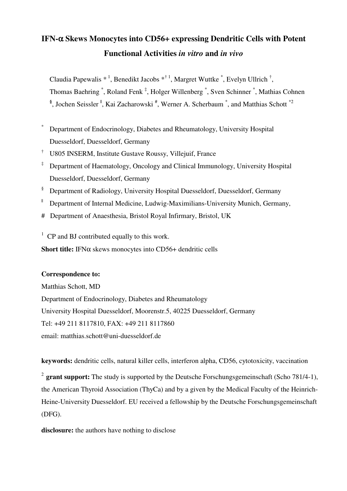# **IFN-**α **Skews Monocytes into CD56+ expressing Dendritic Cells with Potent Functional Activities** *in vitro* **and** *in vivo*

Claudia Papewalis  $*^1$ , Benedikt Jacobs  $*^{\dagger}$ <sup>1</sup>, Margret Wuttke  $*$ , Evelyn Ullrich  $*$ ,

Thomas Baehring  $\check{\phantom{\phi}}$ , Roland Fenk  $\check{\phantom{\phi}}$ , Holger Willenberg  $\check{\phantom{\phi}}$ , Sven Schinner  $\check{\phantom{\phi}}$ , Mathias Cohnen <sup>§</sup>, Jochen Seissler<sup> I</sup>, Kai Zacharowski<sup>#</sup>, Werner A. Scherbaum<sup>\*</sup>, and Matthias Schott<sup>\*2</sup>

\* Department of Endocrinology, Diabetes and Rheumatology, University Hospital

Duesseldorf, Duesseldorf, Germany

- † U805 INSERM, Institute Gustave Roussy, Villejuif, France
- ‡ Department of Haematology, Oncology and Clinical Immunology, University Hospital Duesseldorf, Duesseldorf, Germany
- <sup>§</sup> Department of Radiology, University Hospital Duesseldorf, Duesseldorf, Germany
- || Department of Internal Medicine, Ludwig-Maximilians-University Munich, Germany,
- # Department of Anaesthesia, Bristol Royal Infirmary, Bristol, UK
- $1$  CP and BJ contributed equally to this work.

**Short title:** IFNα skews monocytes into CD56+ dendritic cells

# **Correspondence to:**

Matthias Schott, MD Department of Endocrinology, Diabetes and Rheumatology University Hospital Duesseldorf, Moorenstr.5, 40225 Duesseldorf, Germany Tel: +49 211 8117810, FAX: +49 211 8117860 email: matthias.schott@uni-duesseldorf.de

**keywords:** dendritic cells, natural killer cells, interferon alpha, CD56, cytotoxicity, vaccination

<sup>2</sup> grant support: The study is supported by the Deutsche Forschungsgemeinschaft (Scho 781/4-1), the American Thyroid Association (ThyCa) and by a given by the Medical Faculty of the Heinrich-Heine-University Duesseldorf. EU received a fellowship by the Deutsche Forschungsgemeinschaft (DFG).

**disclosure:** the authors have nothing to disclose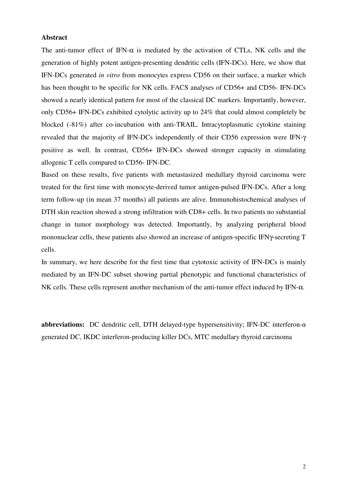#### **Abstract**

The anti-tumor effect of IFN- $\alpha$  is mediated by the activation of CTLs, NK cells and the generation of highly potent antigen-presenting dendritic cells (IFN-DCs). Here, we show that IFN-DCs generated *in vitro* from monocytes express CD56 on their surface, a marker which has been thought to be specific for NK cells. FACS analyses of CD56+ and CD56- IFN-DCs showed a nearly identical pattern for most of the classical DC markers. Importantly, however, only CD56+ IFN-DCs exhibited cytolytic activity up to 24% that could almost completely be blocked (-81%) after co-incubation with anti-TRAIL. Intracytoplasmatic cytokine staining revealed that the majority of IFN-DCs independently of their CD56 expression were IFN-γ positive as well. In contrast, CD56+ IFN-DCs showed stronger capacity in stimulating allogenic T cells compared to CD56- IFN-DC.

Based on these results, five patients with metastasized medullary thyroid carcinoma were treated for the first time with monocyte-derived tumor antigen-pulsed IFN-DCs. After a long term follow-up (in mean 37 months) all patients are alive. Immunohistochemical analyses of DTH skin reaction showed a strong infiltration with CD8+ cells. In two patients no substantial change in tumor morphology was detected. Importantly, by analyzing peripheral blood mononuclear cells, these patients also showed an increase of antigen-specific IFNγ-secreting T cells.

In summary, we here describe for the first time that cytotoxic activity of IFN-DCs is mainly mediated by an IFN-DC subset showing partial phenotypic and functional characteristics of NK cells. These cells represent another mechanism of the anti-tumor effect induced by IFN-α.

**abbreviations:** DC dendritic cell, DTH delayed-type hypersensitivity; IFN-DC interferon-α generated DC, IKDC interferon-producing killer DCs, MTC medullary thyroid carcinoma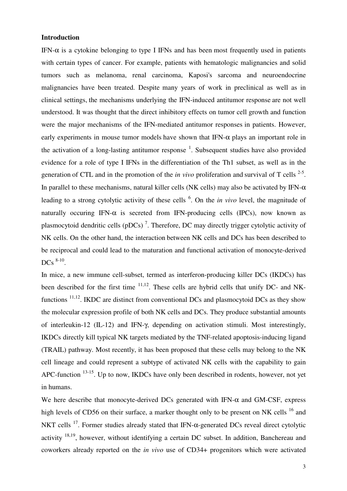#### **Introduction**

IFN- $\alpha$  is a cytokine belonging to type I IFNs and has been most frequently used in patients with certain types of cancer. For example, patients with hematologic malignancies and solid tumors such as melanoma, renal carcinoma, Kaposi's sarcoma and neuroendocrine malignancies have been treated. Despite many years of work in preclinical as well as in clinical settings, the mechanisms underlying the IFN-induced antitumor response are not well understood. It was thought that the direct inhibitory effects on tumor cell growth and function were the major mechanisms of the IFN-mediated antitumor responses in patients. However, early experiments in mouse tumor models have shown that IFN- $\alpha$  plays an important role in the activation of a long-lasting antitumor response  $<sup>1</sup>$ . Subsequent studies have also provided</sup> evidence for a role of type I IFNs in the differentiation of the Th1 subset, as well as in the generation of CTL and in the promotion of the *in vivo* proliferation and survival of T cells  $2-5$ . In parallel to these mechanisms, natural killer cells (NK cells) may also be activated by IFN- $\alpha$ leading to a strong cytolytic activity of these cells <sup>6</sup>. On the *in vivo* level, the magnitude of naturally occuring IFN- $\alpha$  is secreted from IFN-producing cells (IPCs), now known as plasmocytoid dendritic cells (pDCs)<sup>7</sup>. Therefore, DC may directly trigger cytolytic activity of NK cells. On the other hand, the interaction between NK cells and DCs has been described to be reciprocal and could lead to the maturation and functional activation of monocyte-derived  $DCs \, 8-10$ .

In mice, a new immune cell-subset, termed as interferon-producing killer DCs (IKDCs) has been described for the first time <sup>11,12</sup>. These cells are hybrid cells that unify DC- and NKfunctions  $11,12$ . IKDC are distinct from conventional DCs and plasmocytoid DCs as they show the molecular expression profile of both NK cells and DCs. They produce substantial amounts of interleukin-12 (IL-12) and IFN-γ, depending on activation stimuli. Most interestingly, IKDCs directly kill typical NK targets mediated by the TNF-related apoptosis-inducing ligand (TRAIL) pathway. Most recently, it has been proposed that these cells may belong to the NK cell lineage and could represent a subtype of activated NK cells with the capability to gain APC-function  $13-15$ . Up to now, IKDCs have only been described in rodents, however, not yet in humans.

We here describe that monocyte-derived DCs generated with IFN- $\alpha$  and GM-CSF, express high levels of CD56 on their surface, a marker thought only to be present on NK cells <sup>16</sup> and NKT cells <sup>17</sup>. Former studies already stated that IFN-α-generated DCs reveal direct cytolytic activity  $18,19$ , however, without identifying a certain DC subset. In addition, Banchereau and coworkers already reported on the *in vivo* use of CD34+ progenitors which were activated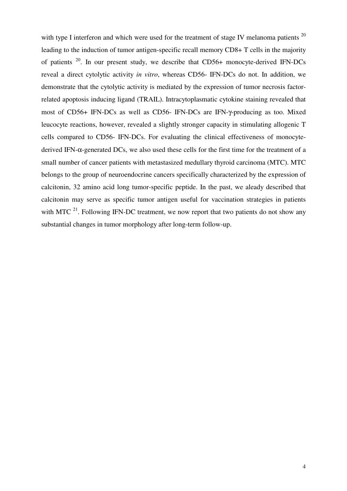with type I interferon and which were used for the treatment of stage IV melanoma patients  $^{20}$ leading to the induction of tumor antigen-specific recall memory CD8+ T cells in the majority of patients  $20$ . In our present study, we describe that CD56+ monocyte-derived IFN-DCs reveal a direct cytolytic activity *in vitro*, whereas CD56- IFN-DCs do not. In addition, we demonstrate that the cytolytic activity is mediated by the expression of tumor necrosis factorrelated apoptosis inducing ligand (TRAIL). Intracytoplasmatic cytokine staining revealed that most of CD56+ IFN-DCs as well as CD56- IFN-DCs are IFN-γ-producing as too. Mixed leucocyte reactions, however, revealed a slightly stronger capacity in stimulating allogenic T cells compared to CD56- IFN-DCs. For evaluating the clinical effectiveness of monocytederived IFN-α-generated DCs, we also used these cells for the first time for the treatment of a small number of cancer patients with metastasized medullary thyroid carcinoma (MTC). MTC belongs to the group of neuroendocrine cancers specifically characterized by the expression of calcitonin, 32 amino acid long tumor-specific peptide. In the past, we aleady described that calcitonin may serve as specific tumor antigen useful for vaccination strategies in patients with MTC  $^{21}$ . Following IFN-DC treatment, we now report that two patients do not show any substantial changes in tumor morphology after long-term follow-up.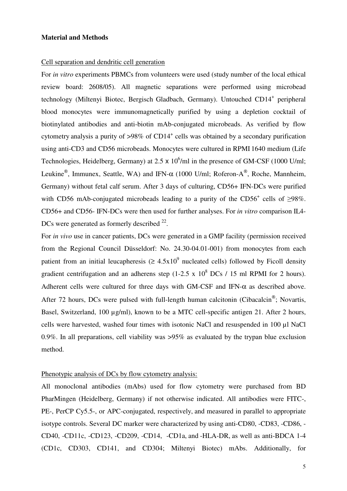#### **Material and Methods**

#### Cell separation and dendritic cell generation

For *in vitro* experiments PBMCs from volunteers were used (study number of the local ethical review board: 2608/05). All magnetic separations were performed using microbead technology (Miltenyi Biotec, Bergisch Gladbach, Germany). Untouched CD14<sup>+</sup> peripheral blood monocytes were immunomagnetically purified by using a depletion cocktail of biotinylated antibodies and anti-biotin mAb-conjugated microbeads. As verified by flow cytometry analysis a purity of  $>98\%$  of CD14<sup>+</sup> cells was obtained by a secondary purification using anti-CD3 and CD56 microbeads. Monocytes were cultured in RPMI 1640 medium (Life Technologies, Heidelberg, Germany) at 2.5  $\times$  10<sup>6</sup>/ml in the presence of GM-CSF (1000 U/ml; Leukine<sup>®</sup>, Immunex, Seattle, WA) and IFN- $\alpha$  (1000 U/ml; Roferon-A<sup>®</sup>, Roche, Mannheim, Germany) without fetal calf serum. After 3 days of culturing, CD56+ IFN-DCs were purified with CD56 mAb-conjugated microbeads leading to a purity of the CD56<sup>+</sup> cells of  $\geq$ 98%. CD56+ and CD56- IFN-DCs were then used for further analyses. For *in vitro* comparison IL4- DCs were generated as formerly described  $22$ .

For *in vivo* use in cancer patients, DCs were generated in a GMP facility (permission received from the Regional Council Düsseldorf: No. 24.30-04.01-001) from monocytes from each patient from an initial leucapheresis ( $\geq 4.5x10^9$  nucleated cells) followed by Ficoll density gradient centrifugation and an adherens step  $(1-2.5 \times 10^8 \text{ DCs} / 15 \text{ ml RPMI}$  for 2 hours). Adherent cells were cultured for three days with GM-CSF and IFN-α as described above. After 72 hours, DCs were pulsed with full-length human calcitonin (Cibacalcin<sup>®</sup>; Novartis, Basel, Switzerland, 100 µg/ml), known to be a MTC cell-specific antigen 21. After 2 hours, cells were harvested, washed four times with isotonic NaCl and resuspended in 100 ul NaCl 0.9%. In all preparations, cell viability was >95% as evaluated by the trypan blue exclusion method.

# Phenotypic analysis of DCs by flow cytometry analysis:

All monoclonal antibodies (mAbs) used for flow cytometry were purchased from BD PharMingen (Heidelberg, Germany) if not otherwise indicated. All antibodies were FITC-, PE-, PerCP Cy5.5-, or APC-conjugated, respectively, and measured in parallel to appropriate isotype controls. Several DC marker were characterized by using anti-CD80, -CD83, -CD86, - CD40, -CD11c, -CD123, -CD209, -CD14, -CD1a, and -HLA-DR, as well as anti-BDCA 1-4 (CD1c, CD303, CD141, and CD304; Miltenyi Biotec) mAbs. Additionally, for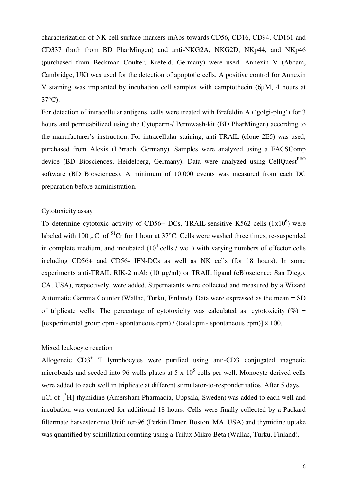characterization of NK cell surface markers mAbs towards CD56, CD16, CD94, CD161 and CD337 (both from BD PharMingen) and anti-NKG2A, NKG2D, NKp44, and NKp46 (purchased from Beckman Coulter, Krefeld, Germany) were used. Annexin V (Abcam**,** Cambridge, UK**)** was used for the detection of apoptotic cells. A positive control for Annexin V staining was implanted by incubation cell samples with camptothecin (6µM, 4 hours at 37°C).

For detection of intracellular antigens, cells were treated with Brefeldin A ('golgi-plug') for 3 hours and permeabilized using the Cytoperm-/ Permwash-kit (BD PharMingen) according to the manufacturer's instruction. For intracellular staining, anti-TRAIL (clone 2E5) was used, purchased from Alexis (Lörrach, Germany). Samples were analyzed using a FACSComp device (BD Biosciences, Heidelberg, Germany). Data were analyzed using CellQuest<sup>PRO</sup> software (BD Biosciences). A minimum of 10.000 events was measured from each DC preparation before administration.

## Cytotoxicity assay

To determine cytotoxic activity of CD56+ DCs, TRAIL-sensitive K562 cells  $(1x10^6)$  were labeled with 100  $\mu$ Ci of <sup>51</sup>Cr for 1 hour at 37°C. Cells were washed three times, re-suspended in complete medium, and incubated  $(10^4 \text{ cells } / \text{ well})$  with varying numbers of effector cells including CD56+ and CD56- IFN-DCs as well as NK cells (for 18 hours). In some experiments anti-TRAIL RIK-2 mAb (10 µg/ml) or TRAIL ligand (eBioscience; San Diego, CA, USA), respectively, were added. Supernatants were collected and measured by a Wizard Automatic Gamma Counter (Wallac, Turku, Finland). Data were expressed as the mean ± SD of triplicate wells. The percentage of cytotoxicity was calculated as: cytotoxicity  $(\%) =$  $[(experimental group com - spontaneous com) / (total com - spontaneous com)] \times 100]$ .

# Mixed leukocyte reaction

Allogeneic CD3<sup>+</sup> T lymphocytes were purified using anti-CD3 conjugated magnetic microbeads and seeded into 96-wells plates at 5 x  $10<sup>5</sup>$  cells per well. Monocyte-derived cells were added to each well in triplicate at different stimulator-to-responder ratios. After 5 days, 1  $\mu$ Ci of  $\int^3$ H]-thymidine (Amersham Pharmacia, Uppsala, Sweden) was added to each well and incubation was continued for additional 18 hours. Cells were finally collected by a Packard filtermate harvester onto Unifilter-96 (Perkin Elmer, Boston, MA, USA) and thymidine uptake was quantified by scintillation counting using a Trilux Mikro Beta (Wallac, Turku, Finland).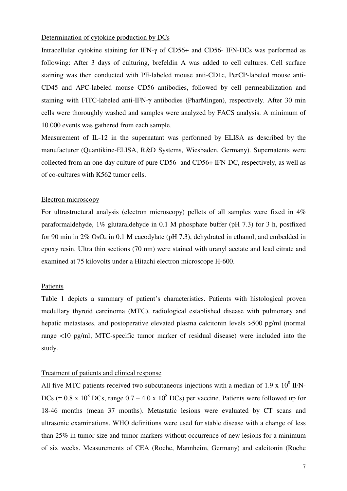#### Determination of cytokine production by DCs

Intracellular cytokine staining for IFN-γ of CD56+ and CD56- IFN-DCs was performed as following: After 3 days of culturing, brefeldin A was added to cell cultures. Cell surface staining was then conducted with PE-labeled mouse anti-CD1c, PerCP-labeled mouse anti-CD45 and APC-labeled mouse CD56 antibodies, followed by cell permeabilization and staining with FITC-labeled anti-IFN-γ antibodies (PharMingen), respectively. After 30 min cells were thoroughly washed and samples were analyzed by FACS analysis. A minimum of 10.000 events was gathered from each sample.

Measurement of IL-12 in the supernatant was performed by ELISA as described by the manufacturer (Quantikine-ELISA, R&D Systems, Wiesbaden, Germany). Supernatents were collected from an one-day culture of pure CD56- and CD56+ IFN-DC, respectively, as well as of co-cultures with K562 tumor cells.

#### Electron microscopy

For ultrastructural analysis (electron microscopy) pellets of all samples were fixed in 4% paraformaldehyde, 1% glutaraldehyde in 0.1 M phosphate buffer (pH 7.3) for 3 h, postfixed for 90 min in 2% OsO4 in 0.1 M cacodylate (pH 7.3), dehydrated in ethanol, and embedded in epoxy resin. Ultra thin sections (70 nm) were stained with uranyl acetate and lead citrate and examined at 75 kilovolts under a Hitachi electron microscope H-600.

#### Patients

Table 1 depicts a summary of patient's characteristics. Patients with histological proven medullary thyroid carcinoma (MTC), radiological established disease with pulmonary and hepatic metastases, and postoperative elevated plasma calcitonin levels >500 pg/ml (normal range <10 pg/ml; MTC-specific tumor marker of residual disease) were included into the study.

#### Treatment of patients and clinical response

All five MTC patients received two subcutaneous injections with a median of 1.9 x  $10^8$  IFN-DCs ( $\pm$  0.8 x 10<sup>8</sup> DCs, range 0.7 – 4.0 x 10<sup>8</sup> DCs) per vaccine. Patients were followed up for 18-46 months (mean 37 months). Metastatic lesions were evaluated by CT scans and ultrasonic examinations. WHO definitions were used for stable disease with a change of less than 25% in tumor size and tumor markers without occurrence of new lesions for a minimum of six weeks. Measurements of CEA (Roche, Mannheim, Germany) and calcitonin (Roche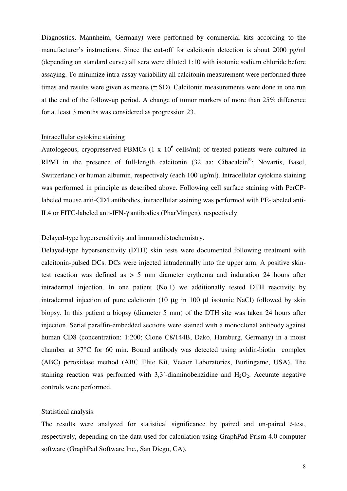Diagnostics, Mannheim, Germany) were performed by commercial kits according to the manufacturer's instructions. Since the cut-off for calcitonin detection is about 2000 pg/ml (depending on standard curve) all sera were diluted 1:10 with isotonic sodium chloride before assaying. To minimize intra-assay variability all calcitonin measurement were performed three times and results were given as means  $(\pm SD)$ . Calcitonin measurements were done in one run at the end of the follow-up period. A change of tumor markers of more than 25% difference for at least 3 months was considered as progression 23.

# Intracellular cytokine staining

Autologeous, cryopreserved PBMCs  $(1 \times 10^6 \text{ cells/ml})$  of treated patients were cultured in RPMI in the presence of full-length calcitonin  $(32 \text{ aa}; \text{ Cibacalcin}^{\circ})$ ; Novartis, Basel, Switzerland) or human albumin, respectively (each 100  $\mu$ g/ml). Intracellular cytokine staining was performed in principle as described above. Following cell surface staining with PerCPlabeled mouse anti-CD4 antibodies, intracellular staining was performed with PE-labeled anti-IL4 or FITC-labeled anti-IFN-γ antibodies (PharMingen), respectively.

# Delayed-type hypersensitivity and immunohistochemistry.

Delayed-type hypersensitivity (DTH) skin tests were documented following treatment with calcitonin-pulsed DCs. DCs were injected intradermally into the upper arm. A positive skintest reaction was defined as > 5 mm diameter erythema and induration 24 hours after intradermal injection. In one patient (No.1) we additionally tested DTH reactivity by intradermal injection of pure calcitonin (10 µg in 100 µl isotonic NaCl) followed by skin biopsy. In this patient a biopsy (diameter 5 mm) of the DTH site was taken 24 hours after injection. Serial paraffin-embedded sections were stained with a monoclonal antibody against human CD8 (concentration: 1:200; Clone C8/144B, Dako, Hamburg, Germany) in a moist chamber at 37°C for 60 min. Bound antibody was detected using avidin-biotin complex (ABC) peroxidase method (ABC Elite Kit, Vector Laboratories, Burlingame, USA). The staining reaction was performed with  $3,3$ <sup>-</sup>-diaminobenzidine and  $H_2O_2$ . Accurate negative controls were performed.

# Statistical analysis.

The results were analyzed for statistical significance by paired and un-paired *t*-test, respectively, depending on the data used for calculation using GraphPad Prism 4.0 computer software (GraphPad Software Inc., San Diego, CA).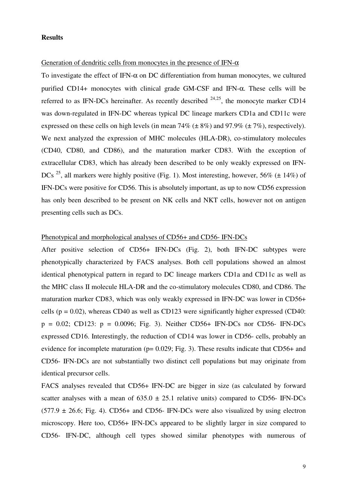## **Results**

#### Generation of dendritic cells from monocytes in the presence of IFN- $\alpha$

To investigate the effect of IFN- $\alpha$  on DC differentiation from human monocytes, we cultured purified CD14+ monocytes with clinical grade GM-CSF and IFN-α. These cells will be referred to as IFN-DCs hereinafter. As recently described  $24.25$ , the monocyte marker CD14 was down-regulated in IFN-DC whereas typical DC lineage markers CD1a and CD11c were expressed on these cells on high levels (in mean  $74\%$  ( $\pm$  8%) and 97.9% ( $\pm$  7%), respectively). We next analyzed the expression of MHC molecules (HLA-DR), co-stimulatory molecules (CD40, CD80, and CD86), and the maturation marker CD83. With the exception of extracellular CD83, which has already been described to be only weakly expressed on IFN-DCs <sup>25</sup>, all markers were highly positive (Fig. 1). Most interesting, however, 56% ( $\pm$  14%) of IFN-DCs were positive for CD56. This is absolutely important, as up to now CD56 expression has only been described to be present on NK cells and NKT cells, however not on antigen presenting cells such as DCs.

## Phenotypical and morphological analyses of CD56+ and CD56- IFN-DCs

After positive selection of CD56+ IFN-DCs (Fig. 2), both IFN-DC subtypes were phenotypically characterized by FACS analyses. Both cell populations showed an almost identical phenotypical pattern in regard to DC lineage markers CD1a and CD11c as well as the MHC class II molecule HLA-DR and the co-stimulatory molecules CD80, and CD86. The maturation marker CD83, which was only weakly expressed in IFN-DC was lower in CD56+ cells ( $p = 0.02$ ), whereas CD40 as well as CD123 were significantly higher expressed (CD40:  $p = 0.02$ ; CD123:  $p = 0.0096$ ; Fig. 3). Neither CD56+ IFN-DCs nor CD56- IFN-DCs expressed CD16. Interestingly, the reduction of CD14 was lower in CD56- cells, probably an evidence for incomplete maturation ( $p= 0.029$ ; Fig. 3). These results indicate that CD56+ and CD56- IFN-DCs are not substantially two distinct cell populations but may originate from identical precursor cells.

FACS analyses revealed that CD56+ IFN-DC are bigger in size (as calculated by forward scatter analyses with a mean of  $635.0 \pm 25.1$  relative units) compared to CD56- IFN-DCs  $(577.9 \pm 26.6;$  Fig. 4). CD56+ and CD56- IFN-DCs were also visualized by using electron microscopy. Here too, CD56+ IFN-DCs appeared to be slightly larger in size compared to CD56- IFN-DC, although cell types showed similar phenotypes with numerous of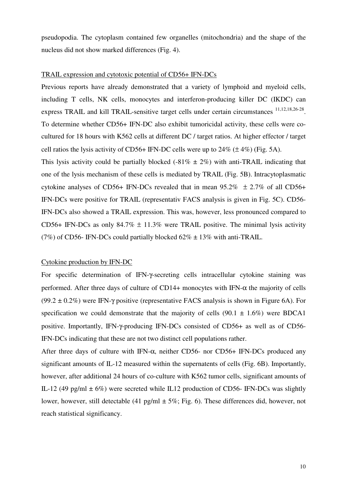pseudopodia. The cytoplasm contained few organelles (mitochondria) and the shape of the nucleus did not show marked differences (Fig. 4).

# TRAIL expression and cytotoxic potential of CD56+ IFN-DCs

Previous reports have already demonstrated that a variety of lymphoid and myeloid cells, including T cells, NK cells, monocytes and interferon-producing killer DC (IKDC) can express TRAIL and kill TRAIL-sensitive target cells under certain circumstances <sup>11,12,18,26-28</sup>. To determine whether CD56+ IFN-DC also exhibit tumoricidal activity, these cells were cocultured for 18 hours with K562 cells at different DC / target ratios. At higher effector / target cell ratios the lysis activity of CD56+ IFN-DC cells were up to  $24\%$  ( $\pm$  4%) (Fig. 5A).

This lysis activity could be partially blocked (-81%  $\pm$  2%) with anti-TRAIL indicating that one of the lysis mechanism of these cells is mediated by TRAIL (Fig. 5B). Intracytoplasmatic cytokine analyses of CD56+ IFN-DCs revealed that in mean  $95.2\% \pm 2.7\%$  of all CD56+ IFN-DCs were positive for TRAIL (representativ FACS analysis is given in Fig. 5C). CD56- IFN-DCs also showed a TRAIL expression. This was, however, less pronounced compared to CD56+ IFN-DCs as only  $84.7\% \pm 11.3\%$  were TRAIL positive. The minimal lysis activity (7%) of CD56- IFN-DCs could partially blocked  $62\% \pm 13\%$  with anti-TRAIL.

#### Cytokine production by IFN-DC

For specific determination of IFN-γ-secreting cells intracellular cytokine staining was performed. After three days of culture of CD14+ monocytes with IFN- $\alpha$  the majority of cells (99.2  $\pm$  0.2%) were IFN- $\gamma$  positive (representative FACS analysis is shown in Figure 6A). For specification we could demonstrate that the majority of cells  $(90.1 \pm 1.6\%)$  were BDCA1 positive. Importantly, IFN-γ-producing IFN-DCs consisted of CD56+ as well as of CD56- IFN-DCs indicating that these are not two distinct cell populations rather.

After three days of culture with IFN-α, neither CD56- nor CD56+ IFN-DCs produced any significant amounts of IL-12 measured within the supernatents of cells (Fig. 6B). Importantly, however, after additional 24 hours of co-culture with K562 tumor cells, significant amounts of IL-12 (49 pg/ml  $\pm$  6%) were secreted while IL12 production of CD56- IFN-DCs was slightly lower, however, still detectable (41 pg/ml  $\pm$  5%; Fig. 6). These differences did, however, not reach statistical significancy.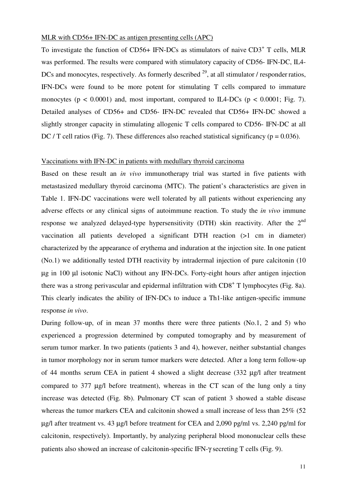# MLR with CD56+ IFN-DC as antigen presenting cells (APC)

To investigate the function of CD56+ IFN-DCs as stimulators of naive CD3<sup>+</sup> T cells, MLR was performed. The results were compared with stimulatory capacity of CD56- IFN-DC, IL4-DCs and monocytes, respectively. As formerly described <sup>29</sup>, at all stimulator / responder ratios, IFN-DCs were found to be more potent for stimulating T cells compared to immature monocytes ( $p < 0.0001$ ) and, most important, compared to IL4-DCs ( $p < 0.0001$ ; Fig. 7). Detailed analyses of CD56+ and CD56- IFN-DC revealed that CD56+ IFN-DC showed a slightly stronger capacity in stimulating allogenic T cells compared to CD56- IFN-DC at all DC / T cell ratios (Fig. 7). These differences also reached statistical significancy ( $p = 0.036$ ).

# Vaccinations with IFN-DC in patients with medullary thyroid carcinoma

Based on these result an *in vivo* immunotherapy trial was started in five patients with metastasized medullary thyroid carcinoma (MTC). The patient's characteristics are given in Table 1. IFN-DC vaccinations were well tolerated by all patients without experiencing any adverse effects or any clinical signs of autoimmune reaction. To study the *in vivo* immune response we analyzed delayed-type hypersensitivity (DTH) skin reactivity. After the 2<sup>nd</sup> vaccination all patients developed a significant DTH reaction (>1 cm in diameter) characterized by the appearance of erythema and induration at the injection site. In one patient (No.1) we additionally tested DTH reactivity by intradermal injection of pure calcitonin (10 µg in 100 µl isotonic NaCl) without any IFN-DCs. Forty-eight hours after antigen injection there was a strong perivascular and epidermal infiltration with  $CD8<sup>+</sup>$  T lymphocytes (Fig. 8a). This clearly indicates the ability of IFN-DCs to induce a Th1-like antigen-specific immune response *in vivo*.

During follow-up, of in mean 37 months there were three patients (No.1, 2 and 5) who experienced a progression determined by computed tomography and by measurement of serum tumor marker. In two patients (patients 3 and 4), however, neither substantial changes in tumor morphology nor in serum tumor markers were detected. After a long term follow-up of 44 months serum CEA in patient 4 showed a slight decrease (332 µg/l after treatment compared to 377 µg/l before treatment), whereas in the CT scan of the lung only a tiny increase was detected (Fig. 8b). Pulmonary CT scan of patient 3 showed a stable disease whereas the tumor markers CEA and calcitonin showed a small increase of less than 25% (52) µg/l after treatment vs. 43 µg/l before treatment for CEA and 2,090 pg/ml vs. 2,240 pg/ml for calcitonin, respectively). Importantly, by analyzing peripheral blood mononuclear cells these patients also showed an increase of calcitonin-specific IFN-γ secreting T cells (Fig. 9).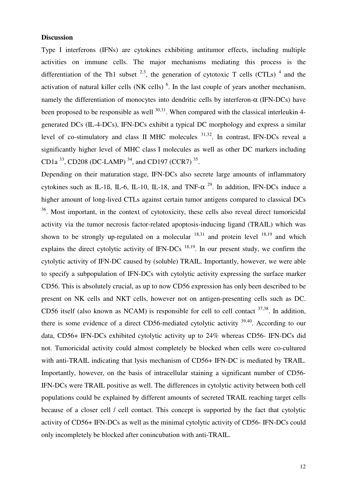# **Discussion**

Type I interferons (IFNs) are cytokines exhibiting antitumor effects, including multiple activities on immune cells. The major mechanisms mediating this process is the differentiation of the Th1 subset  $2.3$ , the generation of cytotoxic T cells (CTLs)  $4$  and the activation of natural killer cells (NK cells)  $<sup>6</sup>$ . In the last couple of years another mechanism,</sup> namely the differentiation of monocytes into dendritic cells by interferon- $\alpha$  (IFN-DCs) have been proposed to be responsible as well  $^{30,31}$ . When compared with the classical interleukin 4generated DCs (IL-4-DCs), IFN-DCs exhibit a typical DC morphology and express a similar level of co-stimulatory and class II MHC molecules <sup>31,32</sup>. In contrast, IFN-DCs reveal a significantly higher level of MHC class I molecules as well as other DC markers including CD1a  $^{33}$ , CD208 (DC-LAMP)  $^{34}$ , and CD197 (CCR7)  $^{35}$ .

Depending on their maturation stage, IFN-DCs also secrete large amounts of inflammatory cytokines such as IL-1ß, IL-6, IL-10, IL-18, and TNF- $\alpha$ <sup>29</sup>. In addition, IFN-DCs induce a higher amount of long-lived CTLs against certain tumor antigens compared to classical DCs <sup>36</sup>. Most important, in the context of cytotoxicity, these cells also reveal direct tumoricidal activity via the tumor necrosis factor-related apoptosis-inducing ligand (TRAIL) which was shown to be strongly up-regulated on a molecular  $18,31$  and protein level  $18,19$  and which explains the direct cytolytic activity of IFN-DCs  $^{18,19}$ . In our present study, we confirm the cytolytic activity of IFN-DC caused by (soluble) TRAIL. Importantly, however, we were able to specify a subpopulation of IFN-DCs with cytolytic activity expressing the surface marker CD56. This is absolutely crucial, as up to now CD56 expression has only been described to be present on NK cells and NKT cells, however not on antigen-presenting cells such as DC. CD56 itself (also known as NCAM) is responsible for cell to cell contact  $37,38$ . In addition, there is some evidence of a direct CD56-mediated cytolytic activity 39,40. According to our data, CD56+ IFN-DCs exhibited cytolytic activity up to 24% whereas CD56- IFN-DCs did not. Tumoricidal activity could almost completely be blocked when cells were co-cultured with anti-TRAIL indicating that lysis mechanism of CD56+ IFN-DC is mediated by TRAIL. Importantly, however, on the basis of intracellular staining a significant number of CD56- IFN-DCs were TRAIL positive as well. The differences in cytolytic activity between both cell populations could be explained by different amounts of secreted TRAIL reaching target cells because of a closer cell / cell contact. This concept is supported by the fact that cytolytic activity of CD56+ IFN-DCs as well as the minimal cytolytic activity of CD56- IFN-DCs could only incompletely be blocked after conincubation with anti-TRAIL.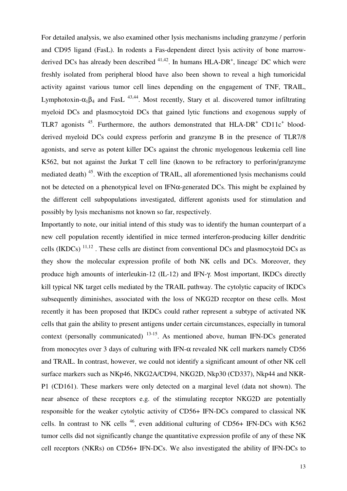For detailed analysis, we also examined other lysis mechanisms including granzyme / perforin and CD95 ligand (FasL). In rodents a Fas-dependent direct lysis activity of bone marrowderived DCs has already been described  $41,42$ . In humans HLA-DR<sup>+</sup>, lineage<sup>-</sup> DC which were freshly isolated from peripheral blood have also been shown to reveal a high tumoricidal activity against various tumor cell lines depending on the engagement of TNF, TRAIL, Lymphotoxin- $\alpha_1 \beta_4$  and FasL <sup>43,44</sup>. Most recently, Stary et al. discovered tumor infiltrating myeloid DCs and plasmocytoid DCs that gained lytic functions and exogenous supply of TLR7 agonists  $^{45}$ . Furthermore, the authors demonstrated that  $HLA-DR^+$  CD11 $c^+$  bloodderived myeloid DCs could express perforin and granzyme B in the presence of TLR7/8 agonists, and serve as potent killer DCs against the chronic myelogenous leukemia cell line K562, but not against the Jurkat T cell line (known to be refractory to perforin/granzyme mediated death) <sup>45</sup>. With the exception of TRAIL, all aforementioned lysis mechanisms could not be detected on a phenotypical level on IFNα-generated DCs. This might be explained by the different cell subpopulations investigated, different agonists used for stimulation and possibly by lysis mechanisms not known so far, respectively.

Importantly to note, our initial intend of this study was to identify the human counterpart of a new cell population recently identified in mice termed interferon-producing killer dendritic cells (IKDCs)  $^{11,12}$ . These cells are distinct from conventional DCs and plasmocytoid DCs as they show the molecular expression profile of both NK cells and DCs. Moreover, they produce high amounts of interleukin-12 (IL-12) and IFN-γ. Most important, IKDCs directly kill typical NK target cells mediated by the TRAIL pathway. The cytolytic capacity of IKDCs subsequently diminishes, associated with the loss of NKG2D receptor on these cells. Most recently it has been proposed that IKDCs could rather represent a subtype of activated NK cells that gain the ability to present antigens under certain circumstances, especially in tumoral context (personally communicated) 13-15. As mentioned above, human IFN-DCs generated from monocytes over 3 days of culturing with IFN- $\alpha$  revealed NK cell markers namely CD56 and TRAIL. In contrast, however, we could not identify a significant amount of other NK cell surface markers such as NKp46, NKG2A/CD94, NKG2D, Nkp30 (CD337), Nkp44 and NKR-P1 (CD161). These markers were only detected on a marginal level (data not shown). The near absence of these receptors e.g. of the stimulating receptor NKG2D are potentially responsible for the weaker cytolytic activity of CD56+ IFN-DCs compared to classical NK cells. In contrast to NK cells <sup>46</sup>, even additional culturing of CD56+ IFN-DCs with K562 tumor cells did not significantly change the quantitative expression profile of any of these NK cell receptors (NKRs) on CD56+ IFN-DCs. We also investigated the ability of IFN-DCs to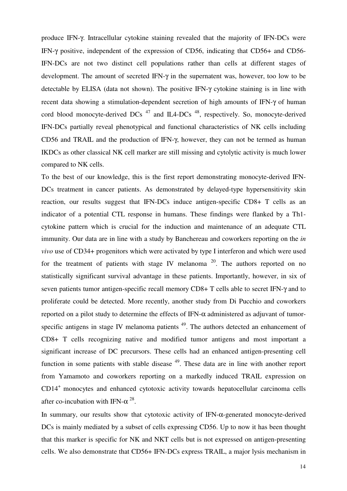produce IFN-γ. Intracellular cytokine staining revealed that the majority of IFN-DCs were IFN-γ positive, independent of the expression of CD56, indicating that CD56+ and CD56- IFN-DCs are not two distinct cell populations rather than cells at different stages of development. The amount of secreted IFN-γ in the supernatent was, however, too low to be detectable by ELISA (data not shown). The positive IFN-γ cytokine staining is in line with recent data showing a stimulation-dependent secretion of high amounts of IFN-γ of human cord blood monocyte-derived DCs  $^{47}$  and IL4-DCs  $^{48}$ , respectively. So, monocyte-derived IFN-DCs partially reveal phenotypical and functional characteristics of NK cells including CD56 and TRAIL and the production of IFN-γ, however, they can not be termed as human IKDCs as other classical NK cell marker are still missing and cytolytic activity is much lower compared to NK cells.

To the best of our knowledge, this is the first report demonstrating monocyte-derived IFN-DCs treatment in cancer patients. As demonstrated by delayed-type hypersensitivity skin reaction, our results suggest that IFN-DCs induce antigen-specific CD8+ T cells as an indicator of a potential CTL response in humans. These findings were flanked by a Th1 cytokine pattern which is crucial for the induction and maintenance of an adequate CTL immunity. Our data are in line with a study by Banchereau and coworkers reporting on the *in vivo* use of CD34+ progenitors which were activated by type I interferon and which were used for the treatment of patients with stage IV melanoma<sup>20</sup>. The authors reported on no statistically significant survival advantage in these patients. Importantly, however, in six of seven patients tumor antigen-specific recall memory CD8+ T cells able to secret IFN-γ and to proliferate could be detected. More recently, another study from Di Pucchio and coworkers reported on a pilot study to determine the effects of IFN-α administered as adjuvant of tumorspecific antigens in stage IV melanoma patients<sup>49</sup>. The authors detected an enhancement of CD8+ T cells recognizing native and modified tumor antigens and most important a significant increase of DC precursors. These cells had an enhanced antigen-presenting cell function in some patients with stable disease  $49$ . These data are in line with another report from Yamamoto and coworkers reporting on a markedly induced TRAIL expression on CD14<sup>+</sup> monocytes and enhanced cytotoxic activity towards hepatocellular carcinoma cells after co-incubation with IFN- $\alpha^{28}$ .

In summary, our results show that cytotoxic activity of IFN-α-generated monocyte-derived DCs is mainly mediated by a subset of cells expressing CD56. Up to now it has been thought that this marker is specific for NK and NKT cells but is not expressed on antigen-presenting cells. We also demonstrate that CD56+ IFN-DCs express TRAIL, a major lysis mechanism in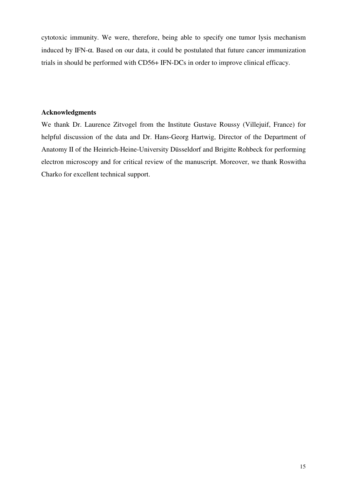cytotoxic immunity. We were, therefore, being able to specify one tumor lysis mechanism induced by IFN-α. Based on our data, it could be postulated that future cancer immunization trials in should be performed with CD56+ IFN-DCs in order to improve clinical efficacy.

# **Acknowledgments**

We thank Dr. Laurence Zitvogel from the Institute Gustave Roussy (Villejuif, France) for helpful discussion of the data and Dr. Hans-Georg Hartwig, Director of the Department of Anatomy II of the Heinrich-Heine-University Düsseldorf and Brigitte Rohbeck for performing electron microscopy and for critical review of the manuscript. Moreover, we thank Roswitha Charko for excellent technical support.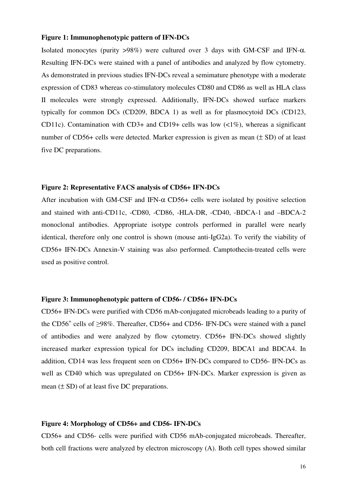#### **Figure 1: Immunophenotypic pattern of IFN-DCs**

Isolated monocytes (purity  $>98\%$ ) were cultured over 3 days with GM-CSF and IFN- $\alpha$ . Resulting IFN-DCs were stained with a panel of antibodies and analyzed by flow cytometry. As demonstrated in previous studies IFN-DCs reveal a semimature phenotype with a moderate expression of CD83 whereas co-stimulatory molecules CD80 and CD86 as well as HLA class II molecules were strongly expressed. Additionally, IFN-DCs showed surface markers typically for common DCs (CD209, BDCA 1) as well as for plasmocytoid DCs (CD123, CD11c). Contamination with CD3+ and CD19+ cells was low (<1%), whereas a significant number of CD56+ cells were detected. Marker expression is given as mean (± SD) of at least five DC preparations.

#### **Figure 2: Representative FACS analysis of CD56+ IFN-DCs**

After incubation with GM-CSF and IFN- $\alpha$  CD56+ cells were isolated by positive selection and stained with anti-CD11c, -CD80, -CD86, -HLA-DR, -CD40, -BDCA-1 and –BDCA-2 monoclonal antibodies. Appropriate isotype controls performed in parallel were nearly identical, therefore only one control is shown (mouse anti-IgG2a). To verify the viability of CD56+ IFN-DCs Annexin-V staining was also performed. Camptothecin-treated cells were used as positive control.

# **Figure 3: Immunophenotypic pattern of CD56- / CD56+ IFN-DCs**

CD56+ IFN-DCs were purified with CD56 mAb-conjugated microbeads leading to a purity of the  $CD56^+$  cells of  $\geq$ 98%. Thereafter, CD56+ and CD56- IFN-DCs were stained with a panel of antibodies and were analyzed by flow cytometry. CD56+ IFN-DCs showed slightly increased marker expression typical for DCs including CD209, BDCA1 and BDCA4. In addition, CD14 was less frequent seen on CD56+ IFN-DCs compared to CD56- IFN-DCs as well as CD40 which was upregulated on CD56+ IFN-DCs. Marker expression is given as mean  $(\pm SD)$  of at least five DC preparations.

#### **Figure 4: Morphology of CD56+ and CD56- IFN-DCs**

CD56+ and CD56- cells were purified with CD56 mAb-conjugated microbeads. Thereafter, both cell fractions were analyzed by electron microscopy (A). Both cell types showed similar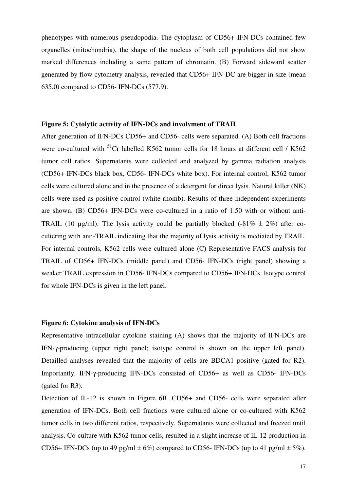phenotypes with numerous pseudopodia. The cytoplasm of CD56+ IFN-DCs contained few organelles (mitochondria), the shape of the nucleus of both cell populations did not show marked differences including a same pattern of chromatin. (B) Forward sideward scatter generated by flow cytometry analysis, revealed that CD56+ IFN-DC are bigger in size (mean 635.0) compared to CD56- IFN-DCs (577.9).

#### **Figure 5: Cytolytic activity of IFN-DCs and involvment of TRAIL**

After generation of IFN-DCs CD56+ and CD56- cells were separated. (A) Both cell fractions were co-cultured with <sup>51</sup>Cr labelled K562 tumor cells for 18 hours at different cell / K562 tumor cell ratios. Supernatants were collected and analyzed by gamma radiation analysis (CD56+ IFN-DCs black box, CD56- IFN-DCs white box). For internal control, K562 tumor cells were cultured alone and in the presence of a detergent for direct lysis. Natural killer (NK) cells were used as positive control (white rhomb). Results of three independent experiments are shown. (B) CD56+ IFN-DCs were co-cultured in a ratio of 1:50 with or without anti-TRAIL (10  $\mu$ g/ml). The lysis activity could be partially blocked (-81%  $\pm$  2%) after cocultering with anti-TRAIL indicating that the majority of lysis activity is mediated by TRAIL. For internal controls, K562 cells were cultured alone (C) Representative FACS analysis for TRAIL of CD56+ IFN-DCs (middle panel) and CD56- IFN-DCs (right panel) showing a weaker TRAIL expression in CD56- IFN-DCs compared to CD56+ IFN-DCs. Isotype control for whole IFN-DCs is given in the left panel.

# **Figure 6: Cytokine analysis of IFN-DCs**

Representative intracellular cytokine staining (A) shows that the majority of IFN-DCs are IFN-γ-producing (upper right panel; isotype control is shown on the upper left panel). Detailled analyses revealed that the majority of cells are BDCA1 positive (gated for R2). Importantly, IFN-γ-producing IFN-DCs consisted of CD56+ as well as CD56- IFN-DCs (gated for R3).

Detection of IL-12 is shown in Figure 6B. CD56+ and CD56- cells were separated after generation of IFN-DCs. Both cell fractions were cultured alone or co-cultured with K562 tumor cells in two different ratios, respectively. Supernatants were collected and freezed until analysis. Co-culture with K562 tumor cells, resulted in a slight increase of IL-12 production in CD56+ IFN-DCs (up to 49 pg/ml  $\pm$  6%) compared to CD56- IFN-DCs (up to 41 pg/ml  $\pm$  5%).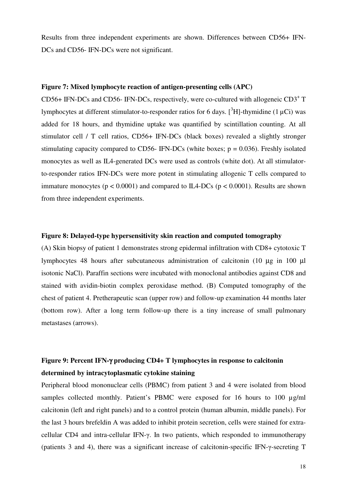Results from three independent experiments are shown. Differences between CD56+ IFN-DCs and CD56- IFN-DCs were not significant.

## **Figure 7: Mixed lymphocyte reaction of antigen-presenting cells (APC)**

CD56+ IFN-DCs and CD56- IFN-DCs, respectively, were co-cultured with allogeneic CD3<sup>+</sup> T lymphocytes at different stimulator-to-responder ratios for 6 days.  $\int^3 H$ ]-thymidine (1  $\mu$ Ci) was added for 18 hours, and thymidine uptake was quantified by scintillation counting. At all stimulator cell / T cell ratios, CD56+ IFN-DCs (black boxes) revealed a slightly stronger stimulating capacity compared to CD56- IFN-DCs (white boxes;  $p = 0.036$ ). Freshly isolated monocytes as well as IL4-generated DCs were used as controls (white dot). At all stimulatorto-responder ratios IFN-DCs were more potent in stimulating allogenic T cells compared to immature monocytes ( $p < 0.0001$ ) and compared to IL4-DCs ( $p < 0.0001$ ). Results are shown from three independent experiments.

#### **Figure 8: Delayed-type hypersensitivity skin reaction and computed tomography**

(A) Skin biopsy of patient 1 demonstrates strong epidermal infiltration with CD8+ cytotoxic T lymphocytes 48 hours after subcutaneous administration of calcitonin (10 µg in 100 µl isotonic NaCl). Paraffin sections were incubated with monoclonal antibodies against CD8 and stained with avidin-biotin complex peroxidase method. (B) Computed tomography of the chest of patient 4. Pretherapeutic scan (upper row) and follow-up examination 44 months later (bottom row). After a long term follow-up there is a tiny increase of small pulmonary metastases (arrows).

# **Figure 9: Percent IFN-**γ **producing CD4+ T lymphocytes in response to calcitonin determined by intracytoplasmatic cytokine staining**

Peripheral blood mononuclear cells (PBMC) from patient 3 and 4 were isolated from blood samples collected monthly. Patient's PBMC were exposed for 16 hours to 100  $\mu$ g/ml calcitonin (left and right panels) and to a control protein (human albumin, middle panels). For the last 3 hours brefeldin A was added to inhibit protein secretion, cells were stained for extracellular CD4 and intra-cellular IFN-γ. In two patients, which responded to immunotherapy (patients 3 and 4), there was a significant increase of calcitonin-specific IFN-γ-secreting T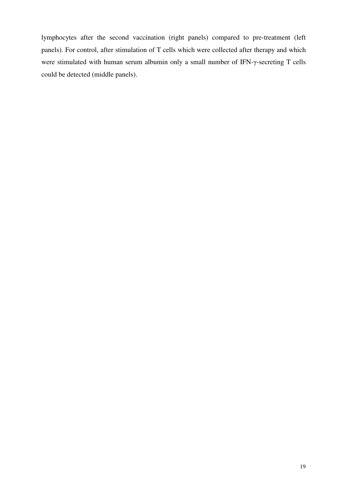lymphocytes after the second vaccination (right panels) compared to pre-treatment (left panels). For control, after stimulation of T cells which were collected after therapy and which were stimulated with human serum albumin only a small number of IFN-γ-secreting T cells could be detected (middle panels).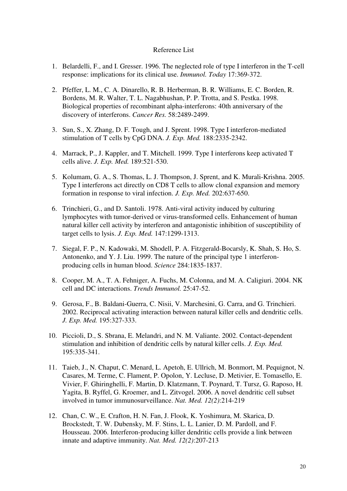# Reference List

- 1. Belardelli, F., and I. Gresser. 1996. The neglected role of type I interferon in the T-cell response: implications for its clinical use. *Immunol. Today* 17:369-372.
- 2. Pfeffer, L. M., C. A. Dinarello, R. B. Herberman, B. R. Williams, E. C. Borden, R. Bordens, M. R. Walter, T. L. Nagabhushan, P. P. Trotta, and S. Pestka. 1998. Biological properties of recombinant alpha-interferons: 40th anniversary of the discovery of interferons. *Cancer Res.* 58:2489-2499.
- 3. Sun, S., X. Zhang, D. F. Tough, and J. Sprent. 1998. Type I interferon-mediated stimulation of T cells by CpG DNA. *J. Exp. Med.* 188:2335-2342.
- 4. Marrack, P., J. Kappler, and T. Mitchell. 1999. Type I interferons keep activated T cells alive. *J. Exp. Med.* 189:521-530.
- 5. Kolumam, G. A., S. Thomas, L. J. Thompson, J. Sprent, and K. Murali-Krishna. 2005. Type I interferons act directly on CD8 T cells to allow clonal expansion and memory formation in response to viral infection. *J. Exp. Med.* 202:637-650.
- 6. Trinchieri, G., and D. Santoli. 1978. Anti-viral activity induced by culturing lymphocytes with tumor-derived or virus-transformed cells. Enhancement of human natural killer cell activity by interferon and antagonistic inhibition of susceptibility of target cells to lysis. *J. Exp. Med.* 147:1299-1313.
- 7. Siegal, F. P., N. Kadowaki, M. Shodell, P. A. Fitzgerald-Bocarsly, K. Shah, S. Ho, S. Antonenko, and Y. J. Liu. 1999. The nature of the principal type 1 interferonproducing cells in human blood. *Science* 284:1835-1837.
- 8. Cooper, M. A., T. A. Fehniger, A. Fuchs, M. Colonna, and M. A. Caligiuri. 2004. NK cell and DC interactions. *Trends Immunol.* 25:47-52.
- 9. Gerosa, F., B. Baldani-Guerra, C. Nisii, V. Marchesini, G. Carra, and G. Trinchieri. 2002. Reciprocal activating interaction between natural killer cells and dendritic cells. *J. Exp. Med.* 195:327-333.
- 10. Piccioli, D., S. Sbrana, E. Melandri, and N. M. Valiante. 2002. Contact-dependent stimulation and inhibition of dendritic cells by natural killer cells. *J. Exp. Med.* 195:335-341.
- 11. Taieb, J., N. Chaput, C. Menard, L. Apetoh, E. Ullrich, M. Bonmort, M. Pequignot, N. Casares, M. Terme, C. Flament, P. Opolon, Y. Lecluse, D. Metivier, E. Tomasello, E. Vivier, F. Ghiringhelli, F. Martin, D. Klatzmann, T. Poynard, T. Tursz, G. Raposo, H. Yagita, B. Ryffel, G. Kroemer, and L. Zitvogel. 2006. A novel dendritic cell subset involved in tumor immunosurveillance. *Nat. Med. 12(2)*:214-219
- 12. Chan, C. W., E. Crafton, H. N. Fan, J. Flook, K. Yoshimura, M. Skarica, D. Brockstedt, T. W. Dubensky, M. F. Stins, L. L. Lanier, D. M. Pardoll, and F. Housseau. 2006. Interferon-producing killer dendritic cells provide a link between innate and adaptive immunity. *Nat. Med. 12(2)*:207-213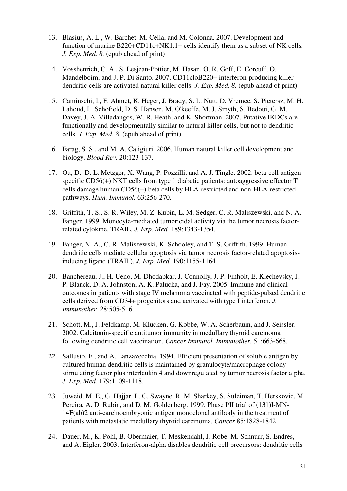- 13. Blasius, A. L., W. Barchet, M. Cella, and M. Colonna. 2007. Development and function of murine B220+CD11c+NK1.1+ cells identify them as a subset of NK cells. *J. Exp. Med. 8.* (epub ahead of print)
- 14. Vosshenrich, C. A., S. Lesjean-Pottier, M. Hasan, O. R. Goff, E. Corcuff, O. Mandelboim, and J. P. Di Santo. 2007. CD11cloB220+ interferon-producing killer dendritic cells are activated natural killer cells. *J. Exp. Med. 8.* (epub ahead of print)
- 15. Caminschi, I., F. Ahmet, K. Heger, J. Brady, S. L. Nutt, D. Vremec, S. Pietersz, M. H. Lahoud, L. Schofield, D. S. Hansen, M. O'keeffe, M. J. Smyth, S. Bedoui, G. M. Davey, J. A. Villadangos, W. R. Heath, and K. Shortman. 2007. Putative IKDCs are functionally and developmentally similar to natural killer cells, but not to dendritic cells. *J. Exp. Med. 8.* (epub ahead of print)
- 16. Farag, S. S., and M. A. Caligiuri. 2006. Human natural killer cell development and biology. *Blood Rev.* 20:123-137.
- 17. Ou, D., D. L. Metzger, X. Wang, P. Pozzilli, and A. J. Tingle. 2002. beta-cell antigenspecific CD56(+) NKT cells from type 1 diabetic patients: autoaggressive effector T cells damage human CD56(+) beta cells by HLA-restricted and non-HLA-restricted pathways. *Hum. Immunol.* 63:256-270.
- 18. Griffith, T. S., S. R. Wiley, M. Z. Kubin, L. M. Sedger, C. R. Maliszewski, and N. A. Fanger. 1999. Monocyte-mediated tumoricidal activity via the tumor necrosis factorrelated cytokine, TRAIL. *J. Exp. Med.* 189:1343-1354.
- 19. Fanger, N. A., C. R. Maliszewski, K. Schooley, and T. S. Griffith. 1999. Human dendritic cells mediate cellular apoptosis via tumor necrosis factor-related apoptosisinducing ligand (TRAIL). *J. Exp. Med.* 190:1155-1164
- 20. Banchereau, J., H. Ueno, M. Dhodapkar, J. Connolly, J. P. Finholt, E. Klechevsky, J. P. Blanck, D. A. Johnston, A. K. Palucka, and J. Fay. 2005. Immune and clinical outcomes in patients with stage IV melanoma vaccinated with peptide-pulsed dendritic cells derived from CD34+ progenitors and activated with type I interferon. *J. Immunother.* 28:505-516.
- 21. Schott, M., J. Feldkamp, M. Klucken, G. Kobbe, W. A. Scherbaum, and J. Seissler. 2002. Calcitonin-specific antitumor immunity in medullary thyroid carcinoma following dendritic cell vaccination. *Cancer Immunol. Immunother.* 51:663-668.
- 22. Sallusto, F., and A. Lanzavecchia. 1994. Efficient presentation of soluble antigen by cultured human dendritic cells is maintained by granulocyte/macrophage colonystimulating factor plus interleukin 4 and downregulated by tumor necrosis factor alpha. *J. Exp. Med.* 179:1109-1118.
- 23. Juweid, M. E., G. Hajjar, L. C. Swayne, R. M. Sharkey, S. Suleiman, T. Herskovic, M. Pereira, A. D. Rubin, and D. M. Goldenberg. 1999. Phase I/II trial of (131)I-MN-14F(ab)2 anti-carcinoembryonic antigen monoclonal antibody in the treatment of patients with metastatic medullary thyroid carcinoma. *Cancer* 85:1828-1842.
- 24. Dauer, M., K. Pohl, B. Obermaier, T. Meskendahl, J. Robe, M. Schnurr, S. Endres, and A. Eigler. 2003. Interferon-alpha disables dendritic cell precursors: dendritic cells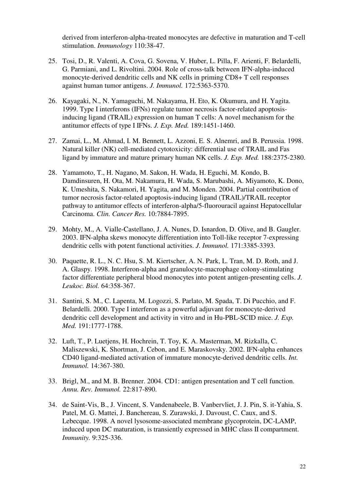derived from interferon-alpha-treated monocytes are defective in maturation and T-cell stimulation. *Immunology* 110:38-47.

- 25. Tosi, D., R. Valenti, A. Cova, G. Sovena, V. Huber, L. Pilla, F. Arienti, F. Belardelli, G. Parmiani, and L. Rivoltini. 2004. Role of cross-talk between IFN-alpha-induced monocyte-derived dendritic cells and NK cells in priming CD8+ T cell responses against human tumor antigens. *J. Immunol.* 172:5363-5370.
- 26. Kayagaki, N., N. Yamaguchi, M. Nakayama, H. Eto, K. Okumura, and H. Yagita. 1999. Type I interferons (IFNs) regulate tumor necrosis factor-related apoptosisinducing ligand (TRAIL) expression on human T cells: A novel mechanism for the antitumor effects of type I IFNs. *J. Exp. Med.* 189:1451-1460.
- 27. Zamai, L., M. Ahmad, I. M. Bennett, L. Azzoni, E. S. Alnemri, and B. Perussia. 1998. Natural killer (NK) cell-mediated cytotoxicity: differential use of TRAIL and Fas ligand by immature and mature primary human NK cells. *J. Exp. Med.* 188:2375-2380.
- 28. Yamamoto, T., H. Nagano, M. Sakon, H. Wada, H. Eguchi, M. Kondo, B. Damdinsuren, H. Ota, M. Nakamura, H. Wada, S. Marubashi, A. Miyamoto, K. Dono, K. Umeshita, S. Nakamori, H. Yagita, and M. Monden. 2004. Partial contribution of tumor necrosis factor-related apoptosis-inducing ligand (TRAIL)/TRAIL receptor pathway to antitumor effects of interferon-alpha/5-fluorouracil against Hepatocellular Carcinoma. *Clin. Cancer Res.* 10:7884-7895.
- 29. Mohty, M., A. Vialle-Castellano, J. A. Nunes, D. Isnardon, D. Olive, and B. Gaugler. 2003. IFN-alpha skews monocyte differentiation into Toll-like receptor 7-expressing dendritic cells with potent functional activities. *J. Immunol.* 171:3385-3393.
- 30. Paquette, R. L., N. C. Hsu, S. M. Kiertscher, A. N. Park, L. Tran, M. D. Roth, and J. A. Glaspy. 1998. Interferon-alpha and granulocyte-macrophage colony-stimulating factor differentiate peripheral blood monocytes into potent antigen-presenting cells. *J. Leukoc. Biol.* 64:358-367.
- 31. Santini, S. M., C. Lapenta, M. Logozzi, S. Parlato, M. Spada, T. Di Pucchio, and F. Belardelli. 2000. Type I interferon as a powerful adjuvant for monocyte-derived dendritic cell development and activity in vitro and in Hu-PBL-SCID mice. *J. Exp. Med.* 191:1777-1788.
- 32. Luft, T., P. Luetjens, H. Hochrein, T. Toy, K. A. Masterman, M. Rizkalla, C. Maliszewski, K. Shortman, J. Cebon, and E. Maraskovsky. 2002. IFN-alpha enhances CD40 ligand-mediated activation of immature monocyte-derived dendritic cells. *Int. Immunol.* 14:367-380.
- 33. Brigl, M., and M. B. Brenner. 2004. CD1: antigen presentation and T cell function. *Annu. Rev. Immunol.* 22:817-890.
- 34. de Saint-Vis, B., J. Vincent, S. Vandenabeele, B. Vanbervliet, J. J. Pin, S. it-Yahia, S. Patel, M. G. Mattei, J. Banchereau, S. Zurawski, J. Davoust, C. Caux, and S. Lebecque. 1998. A novel lysosome-associated membrane glycoprotein, DC-LAMP, induced upon DC maturation, is transiently expressed in MHC class II compartment. *Immunity.* 9:325-336.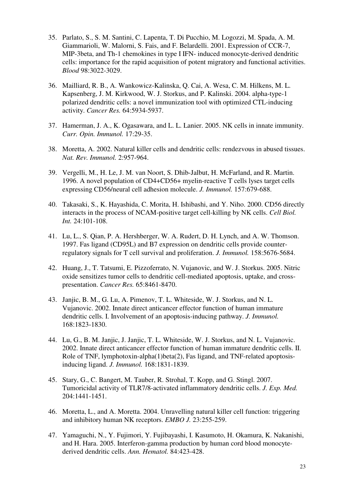- 35. Parlato, S., S. M. Santini, C. Lapenta, T. Di Pucchio, M. Logozzi, M. Spada, A. M. Giammarioli, W. Malorni, S. Fais, and F. Belardelli. 2001. Expression of CCR-7, MIP-3beta, and Th-1 chemokines in type I IFN- induced monocyte-derived dendritic cells: importance for the rapid acquisition of potent migratory and functional activities. *Blood* 98:3022-3029.
- 36. Mailliard, R. B., A. Wankowicz-Kalinska, Q. Cai, A. Wesa, C. M. Hilkens, M. L. Kapsenberg, J. M. Kirkwood, W. J. Storkus, and P. Kalinski. 2004. alpha-type-1 polarized dendritic cells: a novel immunization tool with optimized CTL-inducing activity. *Cancer Res.* 64:5934-5937.
- 37. Hamerman, J. A., K. Ogasawara, and L. L. Lanier. 2005. NK cells in innate immunity. *Curr. Opin. Immunol.* 17:29-35.
- 38. Moretta, A. 2002. Natural killer cells and dendritic cells: rendezvous in abused tissues. *Nat. Rev. Immunol.* 2:957-964.
- 39. Vergelli, M., H. Le, J. M. van Noort, S. Dhib-Jalbut, H. McFarland, and R. Martin. 1996. A novel population of CD4+CD56+ myelin-reactive T cells lyses target cells expressing CD56/neural cell adhesion molecule. *J. Immunol.* 157:679-688.
- 40. Takasaki, S., K. Hayashida, C. Morita, H. Ishibashi, and Y. Niho. 2000. CD56 directly interacts in the process of NCAM-positive target cell-killing by NK cells. *Cell Biol. Int.* 24:101-108.
- 41. Lu, L., S. Qian, P. A. Hershberger, W. A. Rudert, D. H. Lynch, and A. W. Thomson. 1997. Fas ligand (CD95L) and B7 expression on dendritic cells provide counterregulatory signals for T cell survival and proliferation. *J. Immunol.* 158:5676-5684.
- 42. Huang, J., T. Tatsumi, E. Pizzoferrato, N. Vujanovic, and W. J. Storkus. 2005. Nitric oxide sensitizes tumor cells to dendritic cell-mediated apoptosis, uptake, and crosspresentation. *Cancer Res.* 65:8461-8470.
- 43. Janjic, B. M., G. Lu, A. Pimenov, T. L. Whiteside, W. J. Storkus, and N. L. Vujanovic. 2002. Innate direct anticancer effector function of human immature dendritic cells. I. Involvement of an apoptosis-inducing pathway. *J. Immunol.* 168:1823-1830.
- 44. Lu, G., B. M. Janjic, J. Janjic, T. L. Whiteside, W. J. Storkus, and N. L. Vujanovic. 2002. Innate direct anticancer effector function of human immature dendritic cells. II. Role of TNF, lymphotoxin-alpha(1)beta(2), Fas ligand, and TNF-related apoptosisinducing ligand. *J. Immunol.* 168:1831-1839.
- 45. Stary, G., C. Bangert, M. Tauber, R. Strohal, T. Kopp, and G. Stingl. 2007. Tumoricidal activity of TLR7/8-activated inflammatory dendritic cells. *J. Exp. Med.* 204:1441-1451.
- 46. Moretta, L., and A. Moretta. 2004. Unravelling natural killer cell function: triggering and inhibitory human NK receptors. *EMBO J.* 23:255-259.
- 47. Yamaguchi, N., Y. Fujimori, Y. Fujibayashi, I. Kasumoto, H. Okamura, K. Nakanishi, and H. Hara. 2005. Interferon-gamma production by human cord blood monocytederived dendritic cells. *Ann. Hematol.* 84:423-428.